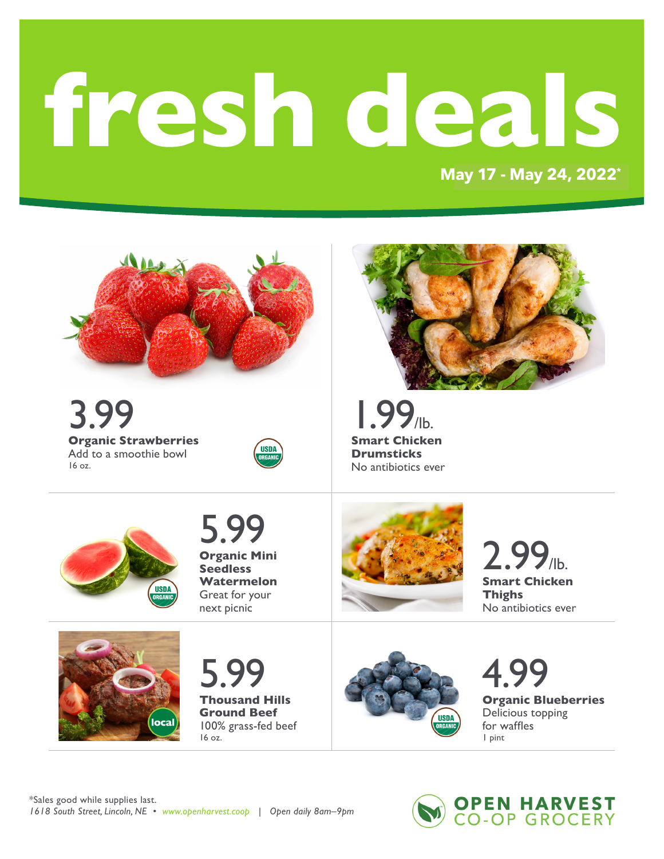# fresh deals

MAY 18 - MAY 24, 2022\* **May 17 - May 24, 2022\***



**OPEN HARVEST. 2551 CO-OP GROCERY**